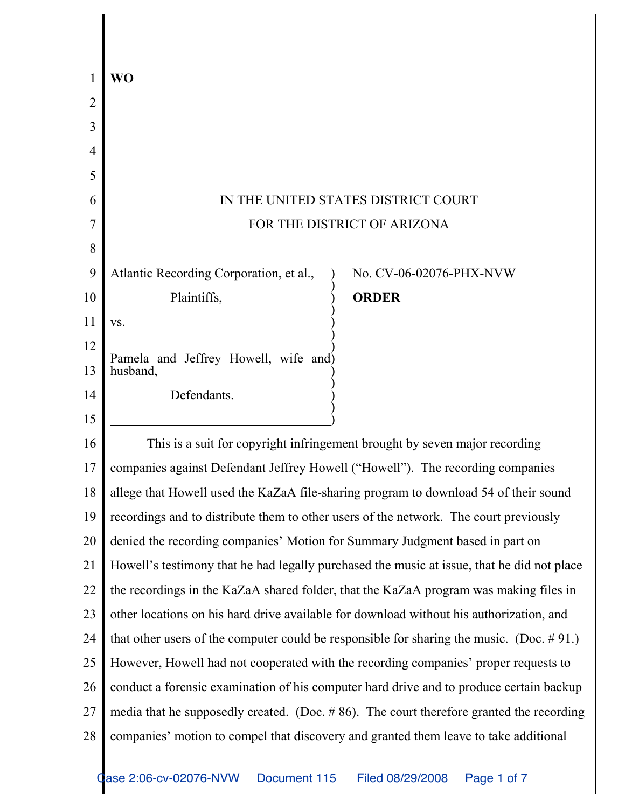| 1              | WO                                                                                           |
|----------------|----------------------------------------------------------------------------------------------|
| $\overline{2}$ |                                                                                              |
| $\overline{3}$ |                                                                                              |
| 4              |                                                                                              |
| 5              |                                                                                              |
| 6              | IN THE UNITED STATES DISTRICT COURT                                                          |
| 7              | FOR THE DISTRICT OF ARIZONA                                                                  |
| 8              |                                                                                              |
| 9              | Atlantic Recording Corporation, et al.,<br>No. CV-06-02076-PHX-NVW                           |
| 10             | Plaintiffs,<br><b>ORDER</b>                                                                  |
| 11             | VS.                                                                                          |
| 12             | Pamela and Jeffrey Howell, wife and)                                                         |
| 13             | husband,                                                                                     |
| 14             | Defendants.                                                                                  |
| 15             |                                                                                              |
| 16             | This is a suit for copyright infringement brought by seven major recording                   |
| 17             | companies against Defendant Jeffrey Howell ("Howell"). The recording companies               |
| 18             | allege that Howell used the KaZaA file-sharing program to download 54 of their sound         |
| 19             | recordings and to distribute them to other users of the network. The court previously        |
| 20             | denied the recording companies' Motion for Summary Judgment based in part on                 |
| 21             | Howell's testimony that he had legally purchased the music at issue, that he did not place   |
| 22             | the recordings in the KaZaA shared folder, that the KaZaA program was making files in        |
| 23             | other locations on his hard drive available for download without his authorization, and      |
| 24             | that other users of the computer could be responsible for sharing the music. (Doc. $# 91$ .) |
| 25             | However, Howell had not cooperated with the recording companies' proper requests to          |
| 26             | conduct a forensic examination of his computer hard drive and to produce certain backup      |
| 27             | media that he supposedly created. (Doc. $#86$ ). The court therefore granted the recording   |
| 28             | companies' motion to compel that discovery and granted them leave to take additional         |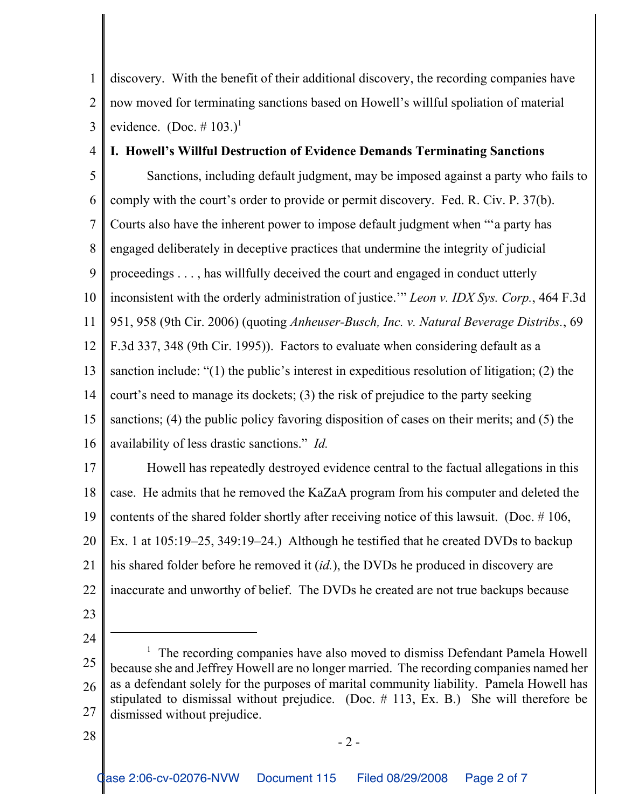1 2 3 discovery. With the benefit of their additional discovery, the recording companies have now moved for terminating sanctions based on Howell's willful spoliation of material evidence.  $(Doc. \# 103.)^1$ 

## 4 **I. Howell's Willful Destruction of Evidence Demands Terminating Sanctions**

5 6 7 8 9 10 11 12 13 14 15 16 17 Sanctions, including default judgment, may be imposed against a party who fails to comply with the court's order to provide or permit discovery. Fed. R. Civ. P. 37(b). Courts also have the inherent power to impose default judgment when "'a party has engaged deliberately in deceptive practices that undermine the integrity of judicial proceedings . . . , has willfully deceived the court and engaged in conduct utterly inconsistent with the orderly administration of justice.'" *Leon v. IDX Sys. Corp.*, 464 F.3d 951, 958 (9th Cir. 2006) (quoting *Anheuser-Busch, Inc. v. Natural Beverage Distribs.*, 69 F.3d 337, 348 (9th Cir. 1995)). Factors to evaluate when considering default as a sanction include: "(1) the public's interest in expeditious resolution of litigation; (2) the court's need to manage its dockets; (3) the risk of prejudice to the party seeking sanctions; (4) the public policy favoring disposition of cases on their merits; and (5) the availability of less drastic sanctions." *Id.* Howell has repeatedly destroyed evidence central to the factual allegations in this

18 19 20 21 22 case. He admits that he removed the KaZaA program from his computer and deleted the contents of the shared folder shortly after receiving notice of this lawsuit. (Doc. # 106, Ex. 1 at 105:19–25, 349:19–24.) Although he testified that he created DVDs to backup his shared folder before he removed it (*id.*), the DVDs he produced in discovery are inaccurate and unworthy of belief. The DVDs he created are not true backups because

- 23
- 24

28

<sup>25</sup> 26 27 <sup>1</sup> The recording companies have also moved to dismiss Defendant Pamela Howell because she and Jeffrey Howell are no longer married. The recording companies named her as a defendant solely for the purposes of marital community liability. Pamela Howell has stipulated to dismissal without prejudice. (Doc. # 113, Ex. B.) She will therefore be dismissed without prejudice.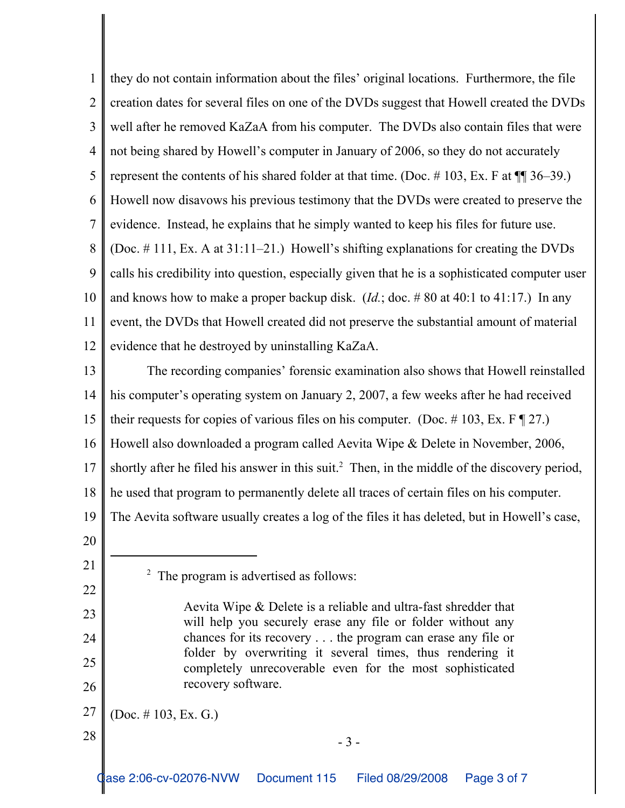1 2 3 4 5 6 7 8 9 10 11 12 13 14 15 16 17 18 19 20 21 22 23 24 25 26 27 <sup>2</sup> The program is advertised as follows: Aevita Wipe & Delete is a reliable and ultra-fast shredder that will help you securely erase any file or folder without any chances for its recovery . . . the program can erase any file or folder by overwriting it several times, thus rendering it completely unrecoverable even for the most sophisticated recovery software. (Doc. # 103, Ex. G.) they do not contain information about the files' original locations. Furthermore, the file creation dates for several files on one of the DVDs suggest that Howell created the DVDs well after he removed KaZaA from his computer. The DVDs also contain files that were not being shared by Howell's computer in January of 2006, so they do not accurately represent the contents of his shared folder at that time. (Doc.  $\# 103$ , Ex. F at  $\P$   $\# 36-39$ .) Howell now disavows his previous testimony that the DVDs were created to preserve the evidence. Instead, he explains that he simply wanted to keep his files for future use. (Doc. # 111, Ex. A at 31:11–21.) Howell's shifting explanations for creating the DVDs calls his credibility into question, especially given that he is a sophisticated computer user and knows how to make a proper backup disk. (*Id.*; doc. # 80 at 40:1 to 41:17.) In any event, the DVDs that Howell created did not preserve the substantial amount of material evidence that he destroyed by uninstalling KaZaA. The recording companies' forensic examination also shows that Howell reinstalled his computer's operating system on January 2, 2007, a few weeks after he had received their requests for copies of various files on his computer. (Doc. #103, Ex. F  $\P$  27.) Howell also downloaded a program called Aevita Wipe & Delete in November, 2006, shortly after he filed his answer in this suit.<sup>2</sup> Then, in the middle of the discovery period, he used that program to permanently delete all traces of certain files on his computer. The Aevita software usually creates a log of the files it has deleted, but in Howell's case,

- 3 -

28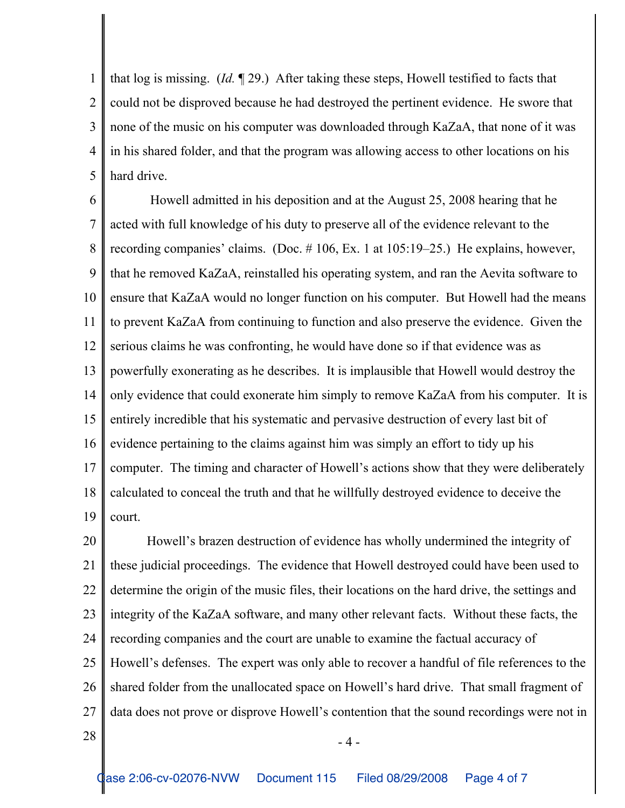1 2 3 4 5 that log is missing. (*Id.* ¶ 29.) After taking these steps, Howell testified to facts that could not be disproved because he had destroyed the pertinent evidence. He swore that none of the music on his computer was downloaded through KaZaA, that none of it was in his shared folder, and that the program was allowing access to other locations on his hard drive.

6 7 8 9 10 11 12 13 14 15 16 17 18 19 Howell admitted in his deposition and at the August 25, 2008 hearing that he acted with full knowledge of his duty to preserve all of the evidence relevant to the recording companies' claims. (Doc. # 106, Ex. 1 at 105:19–25.) He explains, however, that he removed KaZaA, reinstalled his operating system, and ran the Aevita software to ensure that KaZaA would no longer function on his computer. But Howell had the means to prevent KaZaA from continuing to function and also preserve the evidence. Given the serious claims he was confronting, he would have done so if that evidence was as powerfully exonerating as he describes. It is implausible that Howell would destroy the only evidence that could exonerate him simply to remove KaZaA from his computer. It is entirely incredible that his systematic and pervasive destruction of every last bit of evidence pertaining to the claims against him was simply an effort to tidy up his computer. The timing and character of Howell's actions show that they were deliberately calculated to conceal the truth and that he willfully destroyed evidence to deceive the court.

20 21 22 23 24 25 26 27 Howell's brazen destruction of evidence has wholly undermined the integrity of these judicial proceedings. The evidence that Howell destroyed could have been used to determine the origin of the music files, their locations on the hard drive, the settings and integrity of the KaZaA software, and many other relevant facts. Without these facts, the recording companies and the court are unable to examine the factual accuracy of Howell's defenses. The expert was only able to recover a handful of file references to the shared folder from the unallocated space on Howell's hard drive. That small fragment of data does not prove or disprove Howell's contention that the sound recordings were not in

 $28$   $-4$  -

Case 2:06-cv-02076-NVW Document 115 Filed 08/29/2008 Page 4 of 7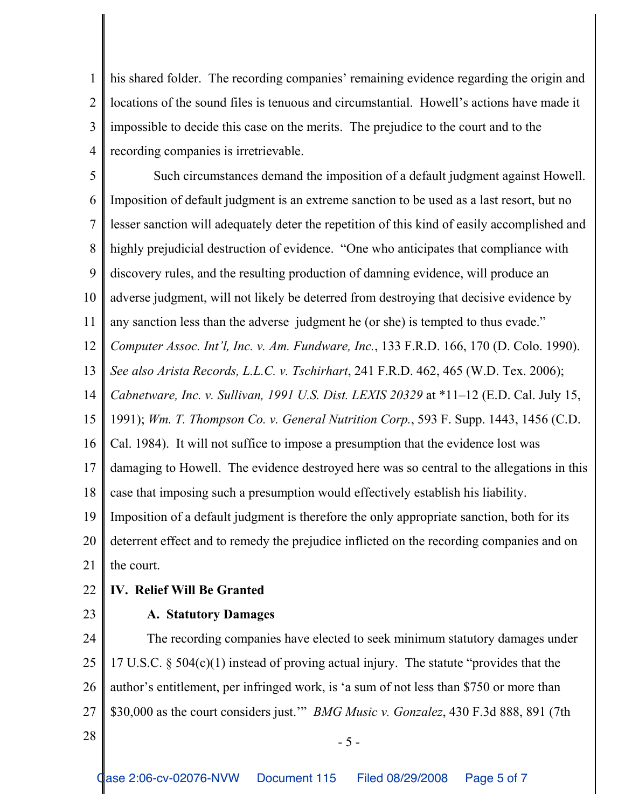1 2 3 4 his shared folder. The recording companies' remaining evidence regarding the origin and locations of the sound files is tenuous and circumstantial. Howell's actions have made it impossible to decide this case on the merits. The prejudice to the court and to the recording companies is irretrievable.

5 6 7 8 9 10 11 12 13 14 15 16 17 18 19 20 21 Such circumstances demand the imposition of a default judgment against Howell. Imposition of default judgment is an extreme sanction to be used as a last resort, but no lesser sanction will adequately deter the repetition of this kind of easily accomplished and highly prejudicial destruction of evidence. "One who anticipates that compliance with discovery rules, and the resulting production of damning evidence, will produce an adverse judgment, will not likely be deterred from destroying that decisive evidence by any sanction less than the adverse judgment he (or she) is tempted to thus evade." *Computer Assoc. Int'l, Inc. v. Am. Fundware, Inc.*, 133 F.R.D. 166, 170 (D. Colo. 1990). *See also Arista Records, L.L.C. v. Tschirhart*, 241 F.R.D. 462, 465 (W.D. Tex. 2006); *Cabnetware, Inc. v. Sullivan, 1991 U.S. Dist. LEXIS 20329* at \*11–12 (E.D. Cal. July 15, 1991); *Wm. T. Thompson Co. v. General Nutrition Corp.*, 593 F. Supp. 1443, 1456 (C.D. Cal. 1984). It will not suffice to impose a presumption that the evidence lost was damaging to Howell. The evidence destroyed here was so central to the allegations in this case that imposing such a presumption would effectively establish his liability. Imposition of a default judgment is therefore the only appropriate sanction, both for its deterrent effect and to remedy the prejudice inflicted on the recording companies and on the court.

- 22 **IV. Relief Will Be Granted**
- 23

## **A. Statutory Damages**

24 25 26 27 The recording companies have elected to seek minimum statutory damages under 17 U.S.C. § 504(c)(1) instead of proving actual injury. The statute "provides that the author's entitlement, per infringed work, is 'a sum of not less than \$750 or more than \$30,000 as the court considers just.'" *BMG Music v. Gonzalez*, 430 F.3d 888, 891 (7th

 $28 \parallel -5$  -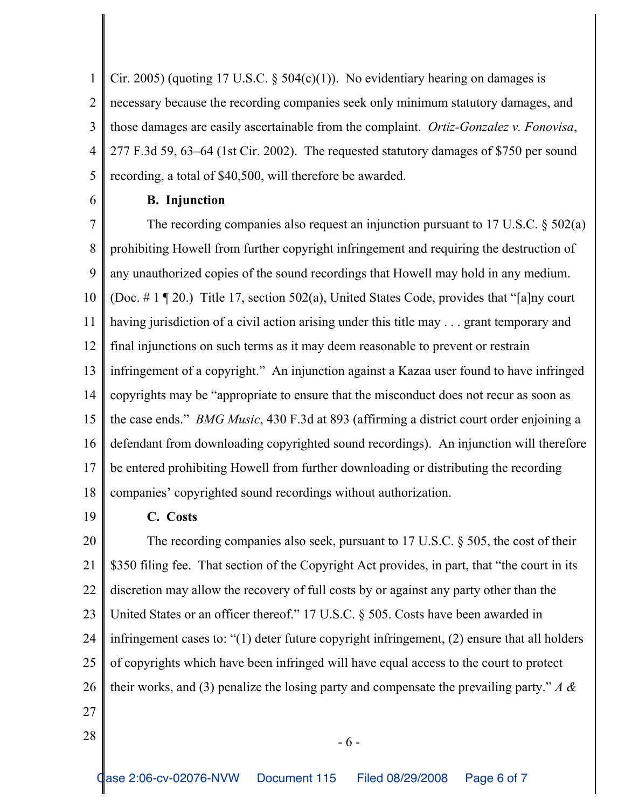1 2 3 4 5 Cir. 2005) (quoting 17 U.S.C.  $\S$  504(c)(1)). No evidentiary hearing on damages is necessary because the recording companies seek only minimum statutory damages, and those damages are easily ascertainable from the complaint. *Ortiz-Gonzalez v. Fonovisa*, 277 F.3d 59, 63–64 (1st Cir. 2002). The requested statutory damages of \$750 per sound recording, a total of \$40,500, will therefore be awarded.

6

## **B. Injunction**

7 8 9 10 11 12 13 14 15 16 17 18 The recording companies also request an injunction pursuant to 17 U.S.C. § 502(a) prohibiting Howell from further copyright infringement and requiring the destruction of any unauthorized copies of the sound recordings that Howell may hold in any medium. (Doc. # 1 ¶ 20.) Title 17, section 502(a), United States Code, provides that "[a]ny court having jurisdiction of a civil action arising under this title may . . . grant temporary and final injunctions on such terms as it may deem reasonable to prevent or restrain infringement of a copyright." An injunction against a Kazaa user found to have infringed copyrights may be "appropriate to ensure that the misconduct does not recur as soon as the case ends." *BMG Music*, 430 F.3d at 893 (affirming a district court order enjoining a defendant from downloading copyrighted sound recordings). An injunction will therefore be entered prohibiting Howell from further downloading or distributing the recording companies' copyrighted sound recordings without authorization.

19

## **C. Costs**

20 21 22 23 24 25 26 27 The recording companies also seek, pursuant to 17 U.S.C. § 505, the cost of their \$350 filing fee. That section of the Copyright Act provides, in part, that "the court in its discretion may allow the recovery of full costs by or against any party other than the United States or an officer thereof." 17 U.S.C. § 505. Costs have been awarded in infringement cases to: "(1) deter future copyright infringement, (2) ensure that all holders of copyrights which have been infringed will have equal access to the court to protect their works, and (3) penalize the losing party and compensate the prevailing party." *A &*

 $28 \text{ }$  - 6 -